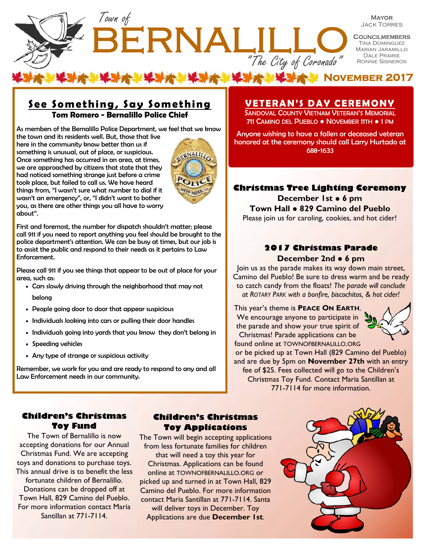

**MAYOR** Jack Torres

**COUNCILMEMBERS** Tina Dominguez Marian Jaramillo Dale Prairie Ronnie Sisneros

**X MOVEMBER 2017** 

## **See Something, Say Something Tom Romero - Bernalillo Police Chief**

As members of the Bernalillo Police Department, we feel that we know

the town and its residents well. But, those that live here in the community know better than us if something is unusual, out of place, or suspicious. Once something has occurred in an area, at times, we are approached by citizens that state that they had noticed something strange just before a crime took place, but failed to call us. We have heard things from, "I wasn't sure what number to dial if it wasn't an emergency", or, "I didn't want to bother you, as there are other things you all have to worry about".



First and foremost, the number for dispatch shouldn't matter; please call 911 if you need to report anything you feel should be brought to the police department's attention. We can be busy at times, but our job is to assist the public and respond to their needs as it pertains to Law Enforcement.

Please call 911 if you see things that appear to be out of place for your area, such as:

- Cars slowly driving through the neighborhood that may not belong
- People going door to door that appear suspicious
- Individuals looking into cars or pulling their door handles
- Individuals going into yards that you know they don't belong in
- Speeding vehicles
- Any type of strange or suspicious activity

Remember, we work for you and are ready to respond to any and all Law Enforcement needs in our community.

# **VETERAN'S DAY CEREMONY**

SANDOVAL COUNTY VIETNAM VETERAN'S MEMORIAL 711 CAMINO DEL PUEBLO ● NOVEMBER 11TH ● 1 PM

Anyone wishing to have a fallen or deceased veteran honored at the ceremony should call Larry Hurtado at 688-1633

### **Christmas Tree Lighting Ceremony**

**December 1st ● 6 pm Town Hall** ● **829 Camino del Pueblo**  Please join us for caroling, cookies, and hot cider!

#### **2017 Christmas Parade December 2nd** ● **6 pm**

Join us as the parade makes its way down main street, Camino del Pueblo! Be sure to dress warm and be ready to catch candy from the floats! *The parade will conclude at ROTARY PARK with a bonfire, biscochitos, & hot cider!*

This year's theme is **PEACE ON EARTH**. We encourage anyone to participate in the parade and show your true spirit of Christmas! Parade applications can be



found online at TOWNOFBERNALILLO.ORG or be picked up at Town Hall (829 Camino del Pueblo) and are due by 5pm on **November 27th** with an entry fee of \$25. Fees collected will go to the Children's Christmas Toy Fund. Contact Maria Santillan at 771-7114 for more information.

#### **Children's Christmas Toy Fund**

The Town of Bernalillo is now accepting donations for our Annual Christmas Fund. We are accepting toys and donations to purchase toys. This annual drive is to benefit the less fortunate children of Bernalillo. Donations can be dropped off at Town Hall, 829 Camino del Pueblo. For more information contact Maria Santillan at 771-7114.

#### **Children's Christmas Toy Applications**

The Town will begin accepting applications from less fortunate families for children that will need a toy this year for Christmas. Applications can be found online at TOWNOFBERNALILLO.ORG or picked up and turned in at Town Hall, 829 Camino del Pueblo. For more information contact Maria Santillan at 771-7114. Santa will deliver toys in December. Toy Applications are due **December 1st**.